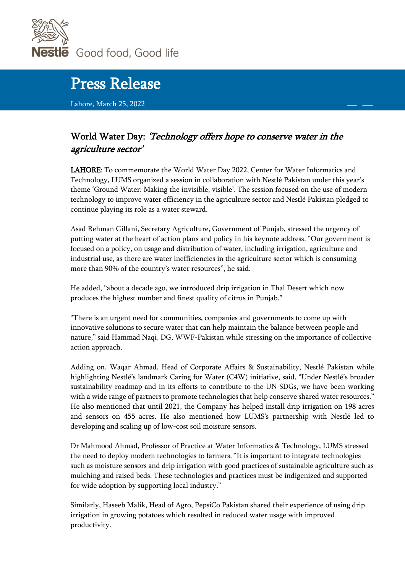

## Press Release

Lahore, March 25, 2022

## World Water Day: 'Technology offers hope to conserve water in the agriculture sector'

LAHORE: To commemorate the World Water Day 2022, Center for Water Informatics and Technology, LUMS organized a session in collaboration with Nestlé Pakistan under this year's theme 'Ground Water: Making the invisible, visible'. The session focused on the use of modern technology to improve water efficiency in the agriculture sector and Nestlé Pakistan pledged to continue playing its role as a water steward.

Asad Rehman Gillani, Secretary Agriculture, Government of Punjab, stressed the urgency of putting water at the heart of action plans and policy in his keynote address. "Our government is focused on a policy, on usage and distribution of water, including irrigation, agriculture and industrial use, as there are water inefficiencies in the agriculture sector which is consuming more than 90% of the country's water resources", he said.

He added, "about a decade ago, we introduced drip irrigation in Thal Desert which now produces the highest number and finest quality of citrus in Punjab."

"There is an urgent need for communities, companies and governments to come up with innovative solutions to secure water that can help maintain the balance between people and nature," said Hammad Naqi, DG, WWF-Pakistan while stressing on the importance of collective action approach.

Adding on, Waqar Ahmad, Head of Corporate Affairs & Sustainability, Nestlé Pakistan while highlighting Nestlé's landmark Caring for Water (C4W) initiative, said, "Under Nestlé's broader sustainability roadmap and in its efforts to contribute to the UN SDGs, we have been working with a wide range of partners to promote technologies that help conserve shared water resources." He also mentioned that until 2021, the Company has helped install drip irrigation on 198 acres and sensors on 455 acres. He also mentioned how LUMS's partnership with Nestlé led to developing and scaling up of low-cost soil moisture sensors.

Dr Mahmood Ahmad, Professor of Practice at Water Informatics & Technology, LUMS stressed the need to deploy modern technologies to farmers. "It is important to integrate technologies such as moisture sensors and drip irrigation with good practices of sustainable agriculture such as mulching and raised beds. These technologies and practices must be indigenized and supported for wide adoption by supporting local industry."

Similarly, Haseeb Malik, Head of Agro, PepsiCo Pakistan shared their experience of using drip irrigation in growing potatoes which resulted in reduced water usage with improved productivity.